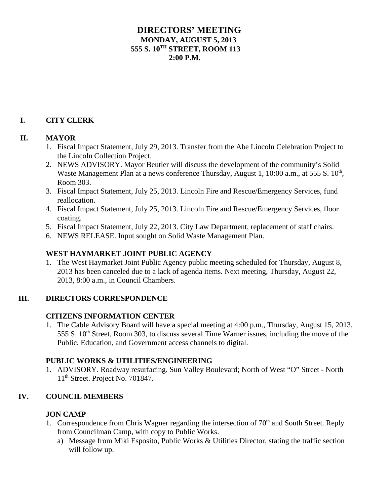# **DIRECTORS' MEETING MONDAY, AUGUST 5, 2013 555 S. 10TH STREET, ROOM 113**  $2:00 \text{ P M}$

# **I. CITY CLERK**

#### **II. MAYOR**

- 1. Fiscal Impact Statement, July 29, 2013. Transfer from the Abe Lincoln Celebration Project to the Lincoln Collection Project.
- 2. NEWS ADVISORY. Mayor Beutler will discuss the development of the community's Solid Waste Management Plan at a news conference Thursday, August 1,  $10:00$  a.m., at 555 S.  $10<sup>th</sup>$ , Room 303.
- 3. Fiscal Impact Statement, July 25, 2013. Lincoln Fire and Rescue/Emergency Services, fund reallocation.
- 4. Fiscal Impact Statement, July 25, 2013. Lincoln Fire and Rescue/Emergency Services, floor coating.
- 5. Fiscal Impact Statement, July 22, 2013. City Law Department, replacement of staff chairs.
- 6. NEWS RELEASE. Input sought on Solid Waste Management Plan.

# **WEST HAYMARKET JOINT PUBLIC AGENCY**

1. The West Haymarket Joint Public Agency public meeting scheduled for Thursday, August 8, 2013 has been canceled due to a lack of agenda items. Next meeting, Thursday, August 22, 2013, 8:00 a.m., in Council Chambers.

# **III. DIRECTORS CORRESPONDENCE**

# **CITIZENS INFORMATION CENTER**

1. The Cable Advisory Board will have a special meeting at 4:00 p.m., Thursday, August 15, 2013, 555 S. 10<sup>th</sup> Street, Room 303, to discuss several Time Warner issues, including the move of the Public, Education, and Government access channels to digital.

# **PUBLIC WORKS & UTILITIES/ENGINEERING**

1. ADVISORY. Roadway resurfacing. Sun Valley Boulevard; North of West "O" Street - North 11<sup>th</sup> Street. Project No. 701847.

#### **IV. COUNCIL MEMBERS**

#### **JON CAMP**

- 1. Correspondence from Chris Wagner regarding the intersection of  $70<sup>th</sup>$  and South Street. Reply from Councilman Camp, with copy to Public Works.
	- a) Message from Miki Esposito, Public Works & Utilities Director, stating the traffic section will follow up.